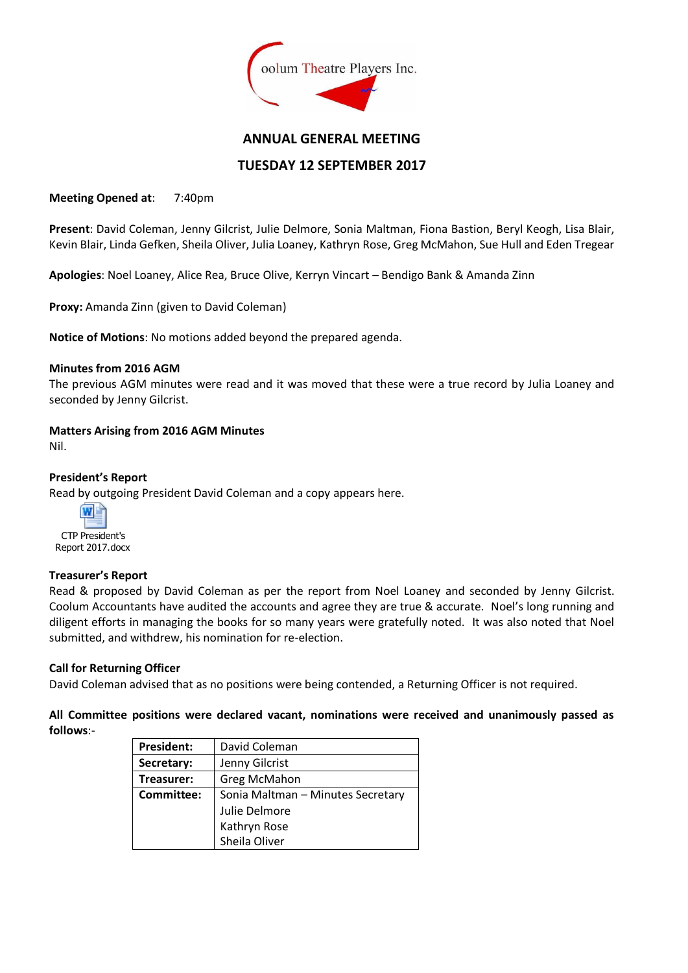

## **ANNUAL GENERAL MEETING**

# **TUESDAY 12 SEPTEMBER 2017**

**Meeting Opened at**: 7:40pm

**Present**: David Coleman, Jenny Gilcrist, Julie Delmore, Sonia Maltman, Fiona Bastion, Beryl Keogh, Lisa Blair, Kevin Blair, Linda Gefken, Sheila Oliver, Julia Loaney, Kathryn Rose, Greg McMahon, Sue Hull and Eden Tregear

**Apologies**: Noel Loaney, Alice Rea, Bruce Olive, Kerryn Vincart – Bendigo Bank & Amanda Zinn

**Proxy:** Amanda Zinn (given to David Coleman)

**Notice of Motions**: No motions added beyond the prepared agenda.

#### **Minutes from 2016 AGM**

The previous AGM minutes were read and it was moved that these were a true record by Julia Loaney and seconded by Jenny Gilcrist.

#### **Matters Arising from 2016 AGM Minutes**

Nil.

#### **President's Report**

Read by outgoing President David Coleman and a copy appears here.



#### **Treasurer's Report**

Read & proposed by David Coleman as per the report from Noel Loaney and seconded by Jenny Gilcrist. Coolum Accountants have audited the accounts and agree they are true & accurate. Noel's long running and diligent efforts in managing the books for so many years were gratefully noted. It was also noted that Noel submitted, and withdrew, his nomination for re-election.

#### **Call for Returning Officer**

David Coleman advised that as no positions were being contended, a Returning Officer is not required.

**All Committee positions were declared vacant, nominations were received and unanimously passed as follows**:-

| <b>President:</b> | David Coleman                     |
|-------------------|-----------------------------------|
| Secretary:        | Jenny Gilcrist                    |
| Treasurer:        | Greg McMahon                      |
| Committee:        | Sonia Maltman - Minutes Secretary |
|                   | Julie Delmore                     |
|                   | Kathryn Rose                      |
|                   | Sheila Oliver                     |